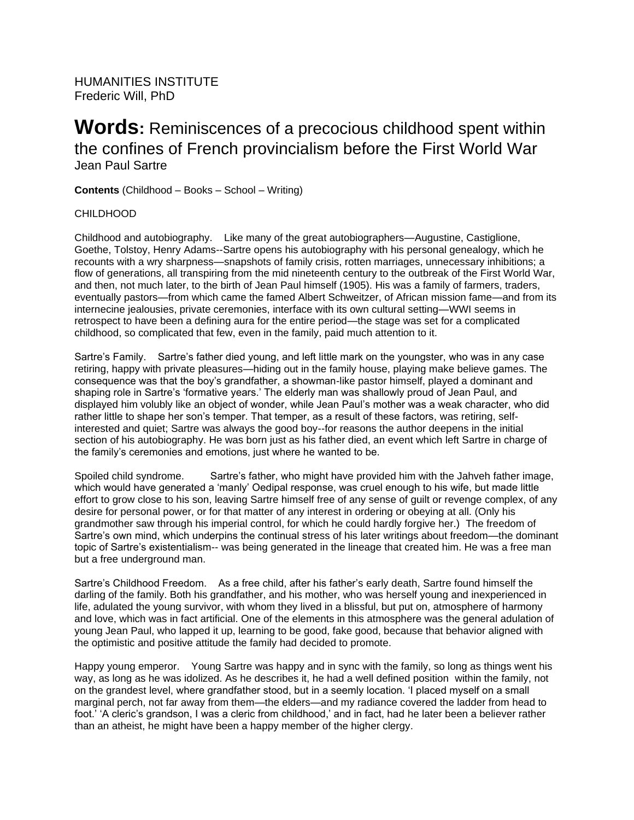HUMANITIES INSTITUTE Frederic Will, PhD

# **Words:** Reminiscences of a precocious childhood spent within the confines of French provincialism before the First World War Jean Paul Sartre

**Contents** (Childhood – Books – School – Writing)

## CHILDHOOD

Childhood and autobiography. Like many of the great autobiographers—Augustine, Castiglione, Goethe, Tolstoy, Henry Adams--Sartre opens his autobiography with his personal genealogy, which he recounts with a wry sharpness—snapshots of family crisis, rotten marriages, unnecessary inhibitions; a flow of generations, all transpiring from the mid nineteenth century to the outbreak of the First World War, and then, not much later, to the birth of Jean Paul himself (1905). His was a family of farmers, traders, eventually pastors—from which came the famed Albert Schweitzer, of African mission fame—and from its internecine jealousies, private ceremonies, interface with its own cultural setting—WWI seems in retrospect to have been a defining aura for the entire period—the stage was set for a complicated childhood, so complicated that few, even in the family, paid much attention to it.

Sartre's Family. Sartre's father died young, and left little mark on the youngster, who was in any case retiring, happy with private pleasures—hiding out in the family house, playing make believe games. The consequence was that the boy's grandfather, a showman-like pastor himself, played a dominant and shaping role in Sartre's 'formative years.' The elderly man was shallowly proud of Jean Paul, and displayed him volubly like an object of wonder, while Jean Paul's mother was a weak character, who did rather little to shape her son's temper. That temper, as a result of these factors, was retiring, selfinterested and quiet; Sartre was always the good boy--for reasons the author deepens in the initial section of his autobiography. He was born just as his father died, an event which left Sartre in charge of the family's ceremonies and emotions, just where he wanted to be.

Spoiled child syndrome. Sartre's father, who might have provided him with the Jahveh father image, which would have generated a 'manly' Oedipal response, was cruel enough to his wife, but made little effort to grow close to his son, leaving Sartre himself free of any sense of guilt or revenge complex, of any desire for personal power, or for that matter of any interest in ordering or obeying at all. (Only his grandmother saw through his imperial control, for which he could hardly forgive her.) The freedom of Sartre's own mind, which underpins the continual stress of his later writings about freedom—the dominant topic of Sartre's existentialism-- was being generated in the lineage that created him. He was a free man but a free underground man.

Sartre's Childhood Freedom. As a free child, after his father's early death, Sartre found himself the darling of the family. Both his grandfather, and his mother, who was herself young and inexperienced in life, adulated the young survivor, with whom they lived in a blissful, but put on, atmosphere of harmony and love, which was in fact artificial. One of the elements in this atmosphere was the general adulation of young Jean Paul, who lapped it up, learning to be good, fake good, because that behavior aligned with the optimistic and positive attitude the family had decided to promote.

Happy young emperor. Young Sartre was happy and in sync with the family, so long as things went his way, as long as he was idolized. As he describes it, he had a well defined position within the family, not on the grandest level, where grandfather stood, but in a seemly location. 'I placed myself on a small marginal perch, not far away from them—the elders—and my radiance covered the ladder from head to foot.' 'A cleric's grandson, I was a cleric from childhood,' and in fact, had he later been a believer rather than an atheist, he might have been a happy member of the higher clergy.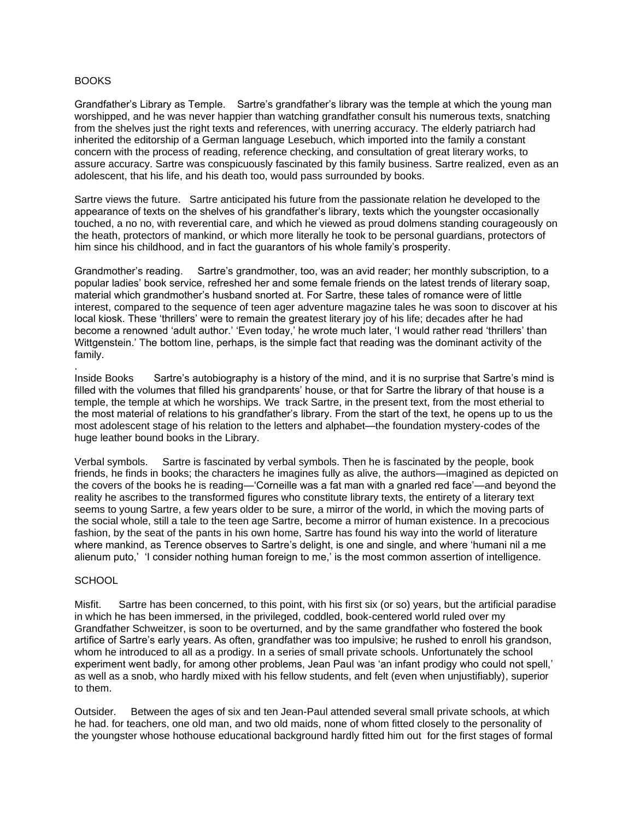## BOOKS

Grandfather's Library as Temple. Sartre's grandfather's library was the temple at which the young man worshipped, and he was never happier than watching grandfather consult his numerous texts, snatching from the shelves just the right texts and references, with unerring accuracy. The elderly patriarch had inherited the editorship of a German language Lesebuch, which imported into the family a constant concern with the process of reading, reference checking, and consultation of great literary works, to assure accuracy. Sartre was conspicuously fascinated by this family business. Sartre realized, even as an adolescent, that his life, and his death too, would pass surrounded by books.

Sartre views the future. Sartre anticipated his future from the passionate relation he developed to the appearance of texts on the shelves of his grandfather's library, texts which the youngster occasionally touched, a no no, with reverential care, and which he viewed as proud dolmens standing courageously on the heath, protectors of mankind, or which more literally he took to be personal guardians, protectors of him since his childhood, and in fact the guarantors of his whole family's prosperity.

Grandmother's reading. Sartre's grandmother, too, was an avid reader; her monthly subscription, to a popular ladies' book service, refreshed her and some female friends on the latest trends of literary soap, material which grandmother's husband snorted at. For Sartre, these tales of romance were of little interest, compared to the sequence of teen ager adventure magazine tales he was soon to discover at his local kiosk. These 'thrillers' were to remain the greatest literary joy of his life; decades after he had become a renowned 'adult author.' 'Even today,' he wrote much later, 'I would rather read 'thrillers' than Wittgenstein.' The bottom line, perhaps, is the simple fact that reading was the dominant activity of the family.

Inside Books Sartre's autobiography is a history of the mind, and it is no surprise that Sartre's mind is filled with the volumes that filled his grandparents' house, or that for Sartre the library of that house is a temple, the temple at which he worships. We track Sartre, in the present text, from the most etherial to the most material of relations to his grandfather's library. From the start of the text, he opens up to us the most adolescent stage of his relation to the letters and alphabet—the foundation mystery-codes of the huge leather bound books in the Library.

Verbal symbols. Sartre is fascinated by verbal symbols. Then he is fascinated by the people, book friends, he finds in books; the characters he imagines fully as alive, the authors—imagined as depicted on the covers of the books he is reading—'Corneille was a fat man with a gnarled red face'—and beyond the reality he ascribes to the transformed figures who constitute library texts, the entirety of a literary text seems to young Sartre, a few years older to be sure, a mirror of the world, in which the moving parts of the social whole, still a tale to the teen age Sartre, become a mirror of human existence. In a precocious fashion, by the seat of the pants in his own home, Sartre has found his way into the world of literature where mankind, as Terence observes to Sartre's delight, is one and single, and where 'humani nil a me alienum puto,' 'I consider nothing human foreign to me,' is the most common assertion of intelligence.

## **SCHOOL**

.

Misfit. Sartre has been concerned, to this point, with his first six (or so) years, but the artificial paradise in which he has been immersed, in the privileged, coddled, book-centered world ruled over my Grandfather Schweitzer, is soon to be overturned, and by the same grandfather who fostered the book artifice of Sartre's early years. As often, grandfather was too impulsive; he rushed to enroll his grandson, whom he introduced to all as a prodigy. In a series of small private schools. Unfortunately the school experiment went badly, for among other problems, Jean Paul was 'an infant prodigy who could not spell,' as well as a snob, who hardly mixed with his fellow students, and felt (even when unjustifiably), superior to them.

Outsider. Between the ages of six and ten Jean-Paul attended several small private schools, at which he had. for teachers, one old man, and two old maids, none of whom fitted closely to the personality of the youngster whose hothouse educational background hardly fitted him out for the first stages of formal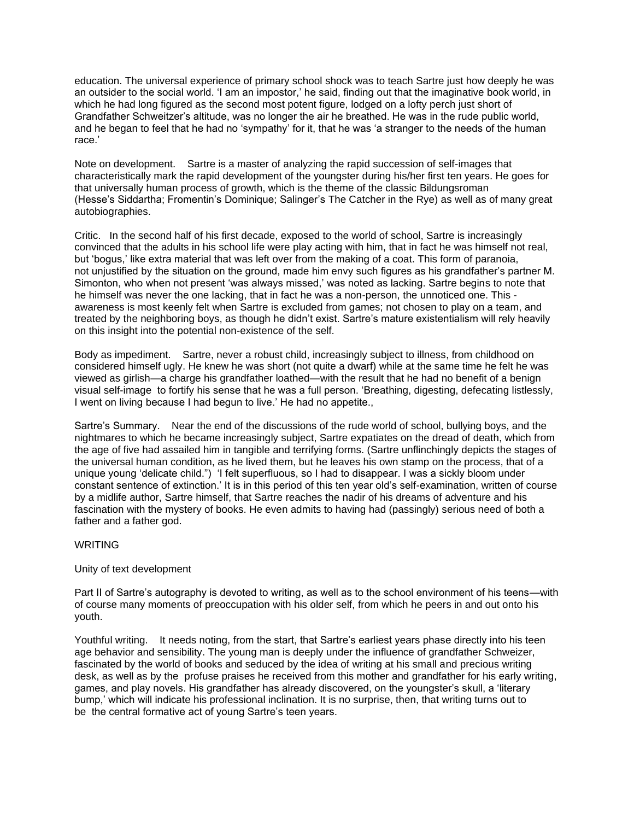education. The universal experience of primary school shock was to teach Sartre just how deeply he was an outsider to the social world. 'I am an impostor,' he said, finding out that the imaginative book world, in which he had long figured as the second most potent figure, lodged on a lofty perch just short of Grandfather Schweitzer's altitude, was no longer the air he breathed. He was in the rude public world, and he began to feel that he had no 'sympathy' for it, that he was 'a stranger to the needs of the human race.'

Note on development. Sartre is a master of analyzing the rapid succession of self-images that characteristically mark the rapid development of the youngster during his/her first ten years. He goes for that universally human process of growth, which is the theme of the classic Bildungsroman (Hesse's Siddartha; Fromentin's Dominique; Salinger's The Catcher in the Rye) as well as of many great autobiographies.

Critic. In the second half of his first decade, exposed to the world of school, Sartre is increasingly convinced that the adults in his school life were play acting with him, that in fact he was himself not real, but 'bogus,' like extra material that was left over from the making of a coat. This form of paranoia, not unjustified by the situation on the ground, made him envy such figures as his grandfather's partner M. Simonton, who when not present 'was always missed,' was noted as lacking. Sartre begins to note that he himself was never the one lacking, that in fact he was a non-person, the unnoticed one. This awareness is most keenly felt when Sartre is excluded from games; not chosen to play on a team, and treated by the neighboring boys, as though he didn't exist. Sartre's mature existentialism will rely heavily on this insight into the potential non-existence of the self.

Body as impediment. Sartre, never a robust child, increasingly subject to illness, from childhood on considered himself ugly. He knew he was short (not quite a dwarf) while at the same time he felt he was viewed as girlish—a charge his grandfather loathed—with the result that he had no benefit of a benign visual self-image to fortify his sense that he was a full person. 'Breathing, digesting, defecating listlessly, I went on living because I had begun to live.' He had no appetite.,

Sartre's Summary. Near the end of the discussions of the rude world of school, bullying boys, and the nightmares to which he became increasingly subject, Sartre expatiates on the dread of death, which from the age of five had assailed him in tangible and terrifying forms. (Sartre unflinchingly depicts the stages of the universal human condition, as he lived them, but he leaves his own stamp on the process, that of a unique young 'delicate child.") 'I felt superfluous, so I had to disappear. I was a sickly bloom under constant sentence of extinction.' It is in this period of this ten year old's self-examination, written of course by a midlife author, Sartre himself, that Sartre reaches the nadir of his dreams of adventure and his fascination with the mystery of books. He even admits to having had (passingly) serious need of both a father and a father god.

## WRITING

## Unity of text development

Part II of Sartre's autography is devoted to writing, as well as to the school environment of his teens—with of course many moments of preoccupation with his older self, from which he peers in and out onto his youth.

Youthful writing. It needs noting, from the start, that Sartre's earliest years phase directly into his teen age behavior and sensibility. The young man is deeply under the influence of grandfather Schweizer, fascinated by the world of books and seduced by the idea of writing at his small and precious writing desk, as well as by the profuse praises he received from this mother and grandfather for his early writing, games, and play novels. His grandfather has already discovered, on the youngster's skull, a 'literary bump,' which will indicate his professional inclination. It is no surprise, then, that writing turns out to be the central formative act of young Sartre's teen years.